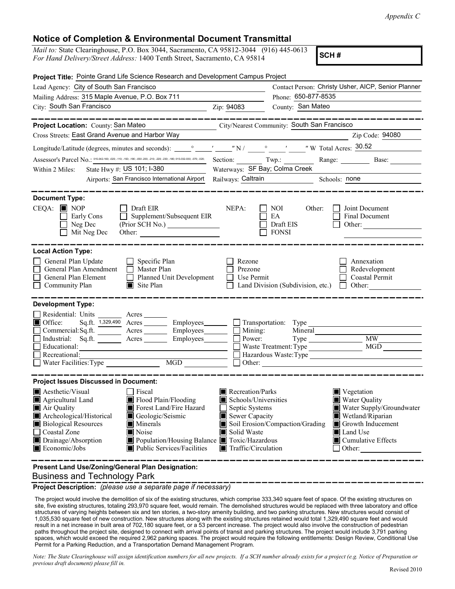## Notice of Completion & Environmental Document Transmittal

| <i>Mail to:</i> State Clearinghouse, P.O. Box 3044, Sacramento, CA 95812-3044 (916) 445-0613<br>For Hand Delivery Street Address: 1400 Tonth Street, Secremento, CA 95814 |  |
|---------------------------------------------------------------------------------------------------------------------------------------------------------------------------|--|
| For Hand Delivery/Street Address: 1400 Tenth Street, Sacramento, CA 95814                                                                                                 |  |

|                                                                                                                                                                                                                                                                                                                                                                      |                                                                                                                                                                                 |                                                             | Appendix C                                                                                                                                                         |
|----------------------------------------------------------------------------------------------------------------------------------------------------------------------------------------------------------------------------------------------------------------------------------------------------------------------------------------------------------------------|---------------------------------------------------------------------------------------------------------------------------------------------------------------------------------|-------------------------------------------------------------|--------------------------------------------------------------------------------------------------------------------------------------------------------------------|
| <b>Notice of Completion &amp; Environmental Document Transmittal</b><br>Mail to: State Clearinghouse, P.O. Box 3044, Sacramento, CA 95812-3044 (916) 445-0613<br>For Hand Delivery/Street Address: 1400 Tenth Street, Sacramento, CA 95814                                                                                                                           |                                                                                                                                                                                 | SCH#                                                        |                                                                                                                                                                    |
| Project Title: Pointe Grand Life Science Research and Development Campus Project                                                                                                                                                                                                                                                                                     |                                                                                                                                                                                 |                                                             |                                                                                                                                                                    |
| Lead Agency: City of South San Francisco                                                                                                                                                                                                                                                                                                                             |                                                                                                                                                                                 |                                                             | Contact Person: Christy Usher, AICP, Senior Planner                                                                                                                |
| Mailing Address: 315 Maple Avenue, P.O. Box 711                                                                                                                                                                                                                                                                                                                      |                                                                                                                                                                                 | Phone: 650-877-8535                                         |                                                                                                                                                                    |
| City: South San Francisco                                                                                                                                                                                                                                                                                                                                            | Zip: 94083                                                                                                                                                                      | County: San Mateo                                           |                                                                                                                                                                    |
| --------------<br>Project Location: County: San Mateo                                                                                                                                                                                                                                                                                                                | City/Nearest Community: South San Francisco                                                                                                                                     |                                                             | ____________                                                                                                                                                       |
| Cross Streets: East Grand Avenue and Harbor Way                                                                                                                                                                                                                                                                                                                      |                                                                                                                                                                                 |                                                             | Zip Code: 94080                                                                                                                                                    |
|                                                                                                                                                                                                                                                                                                                                                                      |                                                                                                                                                                                 |                                                             |                                                                                                                                                                    |
| Assessor's Parcel No.: 015-042-160; -020; -110; -150; -190; -020; -210; -220; -220; -220; -230; -180; 015-032-030; -070; -020; Section: Twp.: Range: Range: Base: Base:                                                                                                                                                                                              |                                                                                                                                                                                 |                                                             |                                                                                                                                                                    |
| Within 2 Miles: State Hwy #: $US$ 101; I-380                                                                                                                                                                                                                                                                                                                         | Waterways: SF Bay; Colma Creek                                                                                                                                                  |                                                             |                                                                                                                                                                    |
|                                                                                                                                                                                                                                                                                                                                                                      | Airports: San Francisco International Airport Railways: Caltrain Schools: none                                                                                                  |                                                             |                                                                                                                                                                    |
| <b>Document Type:</b>                                                                                                                                                                                                                                                                                                                                                |                                                                                                                                                                                 |                                                             |                                                                                                                                                                    |
| $CEQA:$ MOP<br>$\Box$ Draft EIR<br>Early Cons<br>Neg Dec<br>$\Box$ Mit Neg Dec<br>Other:                                                                                                                                                                                                                                                                             | NEPA:<br>Supplement/Subsequent EIR<br>(Prior SCH No.)                                                                                                                           | $\Box$ NOI<br>$\Box$ EA<br>$\Box$ Draft EIS<br><b>FONSI</b> | Other: $\Box$ Joint Document<br>Final Document<br>Other: $\qquad \qquad \qquad$                                                                                    |
| <b>Local Action Type:</b><br>General Plan Update<br>$\Box$ Specific Plan<br>General Plan Amendment<br>Master Plan<br>General Plan Element<br>$\Box$<br>Community Plan                                                                                                                                                                                                | $\Box$ Rezone<br><b>Prezone</b><br>$\Box$ Planned Unit Development<br>$\Box$ Use Permit<br>Site Plan $\Box$ Land Division (Subdivision, etc.) $\Box$ Other:                     |                                                             | Annexation<br>Redevelopment<br>Coastal Permit                                                                                                                      |
| <b>Development Type:</b><br>Residential: Units<br>Acres $\_\_$<br>■ Office:<br>Sq.ft. 1,329,490 Acres<br>Commercial: Sq.ft. Acres<br>Industrial: Sq.ft. <u>Acres</u><br>$\Box$ Educational:<br>$\Box$ Recreational:<br>$\Box$ Water Facilities: Type                                                                                                                 | Employees_<br>$\Box$ Mining:<br>Employees_<br>$\Box$ Power:<br>Employees<br>MGD                                                                                                 | Transportation: Type<br>Mineral Mineral                     | <b>MW</b><br>Waste Treatment: Type MGD<br>Other:                                                                                                                   |
| <b>Project Issues Discussed in Document:</b><br>Aesthetic/Visual<br>$\Box$ Fiscal<br>Agricultural Land<br>Flood Plain/Flooding<br>Air Quality<br>Forest Land/Fire Hazard<br>Archeological/Historical<br>Geologic/Seismic<br><b>Biological Resources</b><br>Minerals<br>□ Coastal Zone<br>Noise<br>Drainage/Absorption<br>Economic/Jobs<br>Public Services/Facilities | Recreation/Parks<br>Schools/Universities<br>Septic Systems<br>Sewer Capacity<br>Solid Waste<br>Population/Housing Balance Toxic/Hazardous<br>$\blacksquare$ Traffic/Circulation | Soil Erosion/Compaction/Grading                             | Vegetation<br>Water Quality<br>Water Supply/Groundwater<br>Wetland/Riparian<br>Growth Inducement<br>Land Use<br>$\blacksquare$ Cumulative Effects<br>$\Box$ Other: |
| Present Land Use/Zoning/General Plan Designation:<br><b>Business and Technology Park</b>                                                                                                                                                                                                                                                                             |                                                                                                                                                                                 |                                                             |                                                                                                                                                                    |

**Project Description:** *(please use a separate page if necessary)*<br>The project would involve the demolition of six of the existing structures, which comprise 333,340 square feet of space. Of the existing structures on site, five existing structures, totaling 293,970 square feet, would remain. The demolished structures would be replaced with three laboratory and office structures of varying heights between six and ten stories, a two-story amenity building, and two parking structures. New structures would consist of 1,035,530 square feet of new construction. New structures along with the existing structures retained would total 1,329,490 square feet and would result in a net increase in built area of 702,180 square feet, or a 53 percent increase. The project would also involve the construction of pedestrian paths throughout the project site, designed to connect with arrival points of transit and parking structures. The project would include 3,791 parking spaces, which would exceed the required 2,962 parking spaces. The project would require the following entitlements: Design Review, Conditional Use Permit for a Parking Reduction, and a Transportation Demand Management Program.

Note: The State Clearinghouse will assign identification numbers for all new projects. If a SCH number already exists for a project (e.g. Notice of Preparation or previous draft document) please fill in.